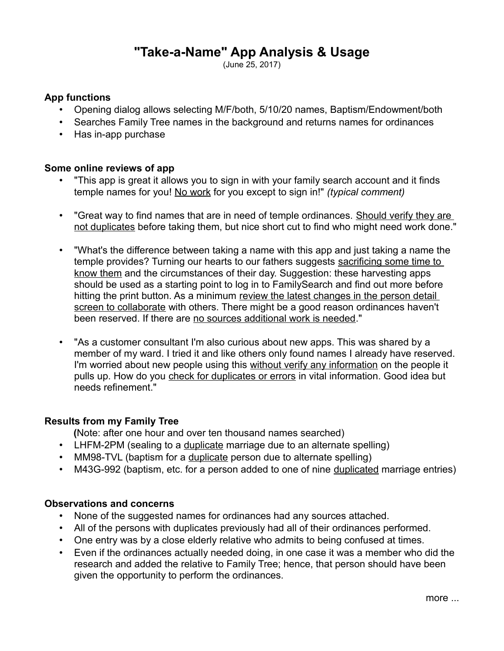# **"Take-a-Name" App Analysis & Usage**

(June 25, 2017)

## **App functions**

- Opening dialog allows selecting M/F/both, 5/10/20 names, Baptism/Endowment/both
- Searches Family Tree names in the background and returns names for ordinances
- Has in-app purchase

#### **Some online reviews of app**

- "This app is great it allows you to sign in with your family search account and it finds temple names for you! No work for you except to sign in!" *(typical comment)*
- "Great way to find names that are in need of temple ordinances. Should verify they are not duplicates before taking them, but nice short cut to find who might need work done."
- "What's the difference between taking a name with this app and just taking a name the temple provides? Turning our hearts to our fathers suggests sacrificing some time to know them and the circumstances of their day. Suggestion: these harvesting apps should be used as a starting point to log in to FamilySearch and find out more before hitting the print button. As a minimum review the latest changes in the person detail screen to collaborate with others. There might be a good reason ordinances haven't been reserved. If there are no sources additional work is needed."
- "As a customer consultant I'm also curious about new apps. This was shared by a member of my ward. I tried it and like others only found names I already have reserved. I'm worried about new people using this without verify any information on the people it pulls up. How do you check for duplicates or errors in vital information. Good idea but needs refinement."

#### **Results from my Family Tree**

**(**Note: after one hour and over ten thousand names searched)

- LHFM-2PM (sealing to a duplicate marriage due to an alternate spelling)
- MM98-TVL (baptism for a duplicate person due to alternate spelling)
- M43G-992 (baptism, etc. for a person added to one of nine duplicated marriage entries)

## **Observations and concerns**

- None of the suggested names for ordinances had any sources attached.
- All of the persons with duplicates previously had all of their ordinances performed.
- One entry was by a close elderly relative who admits to being confused at times.
- Even if the ordinances actually needed doing, in one case it was a member who did the research and added the relative to Family Tree; hence, that person should have been given the opportunity to perform the ordinances.